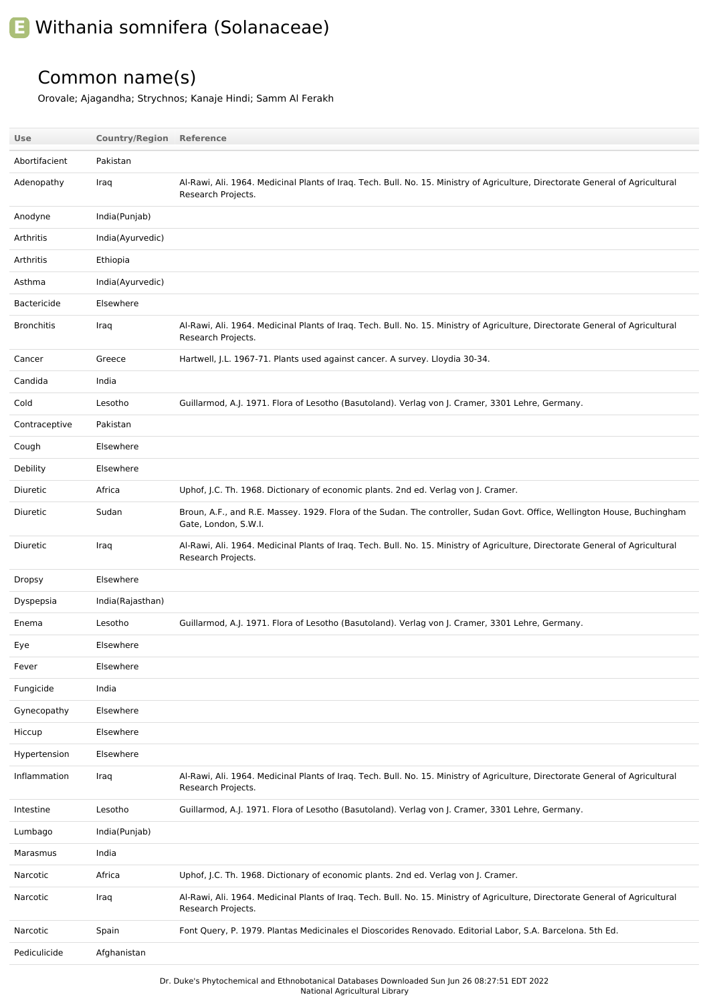## **E** Withania somnifera (Solanaceae)

## Common name(s)

Orovale; Ajagandha; Strychnos; Kanaje Hindi; Samm Al Ferakh

| Use                | <b>Country/Region Reference</b> |                                                                                                                                                      |
|--------------------|---------------------------------|------------------------------------------------------------------------------------------------------------------------------------------------------|
| Abortifacient      | Pakistan                        |                                                                                                                                                      |
| Adenopathy         | Iraq                            | Al-Rawi, Ali. 1964. Medicinal Plants of Iraq. Tech. Bull. No. 15. Ministry of Agriculture, Directorate General of Agricultural<br>Research Projects. |
| Anodyne            | India(Punjab)                   |                                                                                                                                                      |
| Arthritis          | India(Ayurvedic)                |                                                                                                                                                      |
| Arthritis          | Ethiopia                        |                                                                                                                                                      |
| Asthma             | India(Ayurvedic)                |                                                                                                                                                      |
| <b>Bactericide</b> | Elsewhere                       |                                                                                                                                                      |
| <b>Bronchitis</b>  | Iraq                            | Al-Rawi, Ali. 1964. Medicinal Plants of Iraq. Tech. Bull. No. 15. Ministry of Agriculture, Directorate General of Agricultural<br>Research Projects. |
| Cancer             | Greece                          | Hartwell, J.L. 1967-71. Plants used against cancer. A survey. Lloydia 30-34.                                                                         |
| Candida            | India                           |                                                                                                                                                      |
| Cold               | Lesotho                         | Guillarmod, A.J. 1971. Flora of Lesotho (Basutoland). Verlag von J. Cramer, 3301 Lehre, Germany.                                                     |
| Contraceptive      | Pakistan                        |                                                                                                                                                      |
| Cough              | Elsewhere                       |                                                                                                                                                      |
| Debility           | Elsewhere                       |                                                                                                                                                      |
| Diuretic           | Africa                          | Uphof, J.C. Th. 1968. Dictionary of economic plants. 2nd ed. Verlag von J. Cramer.                                                                   |
| Diuretic           | Sudan                           | Broun, A.F., and R.E. Massey. 1929. Flora of the Sudan. The controller, Sudan Govt. Office, Wellington House, Buchingham<br>Gate, London, S.W.I.     |
| Diuretic           | Iraq                            | Al-Rawi, Ali. 1964. Medicinal Plants of Iraq. Tech. Bull. No. 15. Ministry of Agriculture, Directorate General of Agricultural<br>Research Projects. |
| Dropsy             | Elsewhere                       |                                                                                                                                                      |
| Dyspepsia          | India(Rajasthan)                |                                                                                                                                                      |
| Enema              | Lesotho                         | Guillarmod, A.J. 1971. Flora of Lesotho (Basutoland). Verlag von J. Cramer, 3301 Lehre, Germany.                                                     |
| Eye                | Elsewhere                       |                                                                                                                                                      |
| Fever              | Elsewhere                       |                                                                                                                                                      |
| Fungicide          | India                           |                                                                                                                                                      |
| Gynecopathy        | Elsewhere                       |                                                                                                                                                      |
| Hiccup             | Elsewhere                       |                                                                                                                                                      |
| Hypertension       | Elsewhere                       |                                                                                                                                                      |
| Inflammation       | Iraq                            | Al-Rawi, Ali. 1964. Medicinal Plants of Iraq. Tech. Bull. No. 15. Ministry of Agriculture, Directorate General of Agricultural<br>Research Projects. |
| Intestine          | Lesotho                         | Guillarmod, A.J. 1971. Flora of Lesotho (Basutoland). Verlag von J. Cramer, 3301 Lehre, Germany.                                                     |
| Lumbago            | India(Punjab)                   |                                                                                                                                                      |
| Marasmus           | India                           |                                                                                                                                                      |
| Narcotic           | Africa                          | Uphof, J.C. Th. 1968. Dictionary of economic plants. 2nd ed. Verlag von J. Cramer.                                                                   |
| Narcotic           | Iraq                            | Al-Rawi, Ali. 1964. Medicinal Plants of Iraq. Tech. Bull. No. 15. Ministry of Agriculture, Directorate General of Agricultural<br>Research Projects. |
| Narcotic           | Spain                           | Font Query, P. 1979. Plantas Medicinales el Dioscorides Renovado. Editorial Labor, S.A. Barcelona. 5th Ed.                                           |
| Pediculicide       | Afghanistan                     |                                                                                                                                                      |